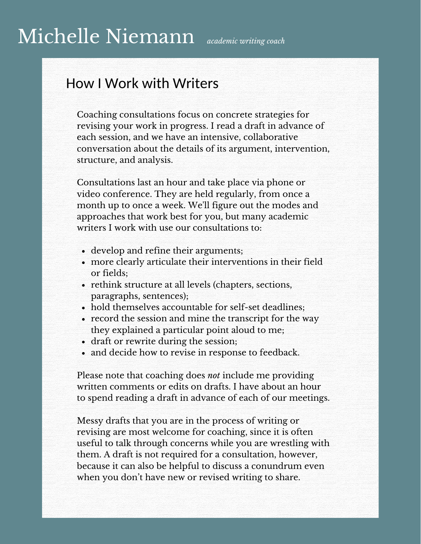## Michelle Niemann *academic writing coach*

### How I Work with Writers

Coaching consultations focus on concrete strategies for revising your work in progress. I read a draft in advance of each session, and we have an intensive, collaborative conversation about the details of its argument, intervention, structure, and analysis.

Consultations last an hour and take place via phone or video conference. They are held regularly, from once a month up to once a week. We'll figure out the modes and approaches that work best for you, but many academic writers I work with use our consultations to:

- develop and refine their arguments;
- more clearly articulate their interventions in their field or fields;
- rethink structure at all levels (chapters, sections, paragraphs, sentences);
- hold themselves accountable for self-set deadlines;
- record the session and mine the transcript for the way they explained a particular point aloud to me;
- draft or rewrite during the session;
- and decide how to revise in response to feedback.

Please note that coaching does *not* include me providing written comments or edits on drafts. I have about an hour to spend reading a draft in advance of each of our meetings.

Messy drafts that you are in the process of writing or revising are most welcome for coaching, since it is often useful to talk through concerns while you are wrestling with them. A draft is not required for a consultation, however, because it can also be helpful to discuss a conundrum even when you don't have new or revised writing to share.